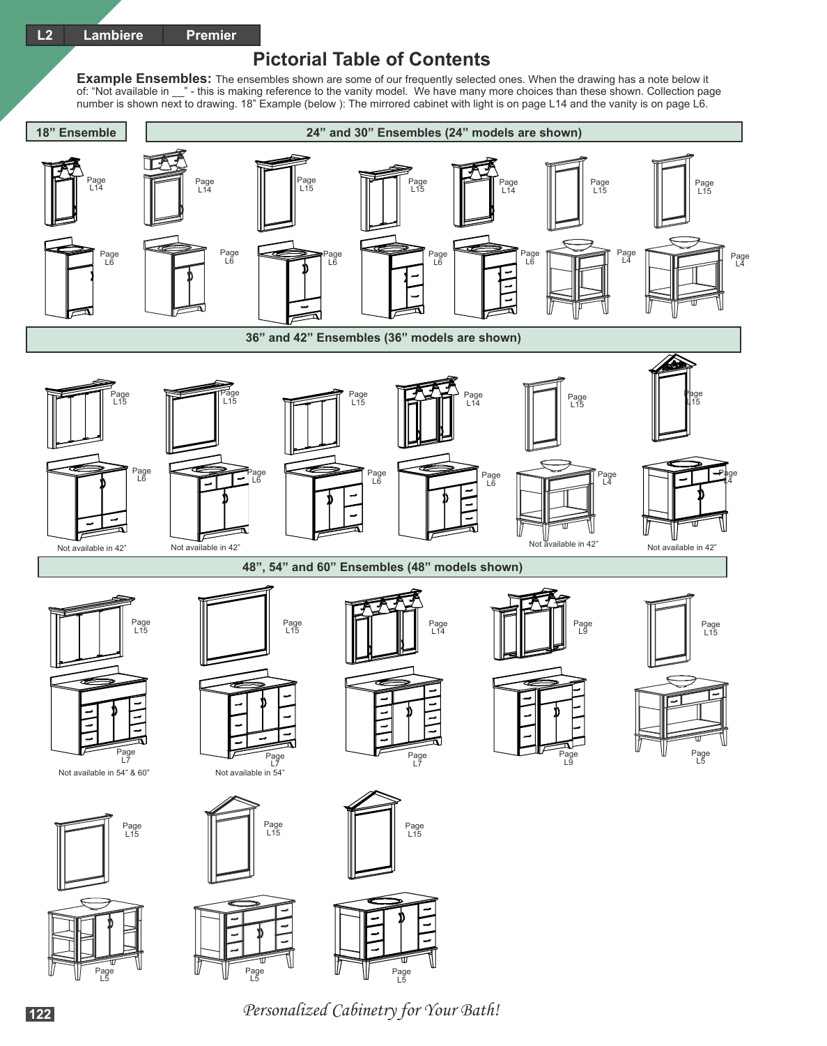## **Pictorial Table of Contents**

**Example Ensembles:** The ensembles shown are some of our frequently selected ones. When the drawing has a note below it of: "Not available in \_\_" - this is making reference to the vanity model. We have many more choices than these shown. Collection page number is shown next to drawing. 18" Example (below ): The mirrored cabinet with light is on page L14 and the vanity is on page L6.



Personalized Cabinetry for Your Bath! **<sup>122</sup>**